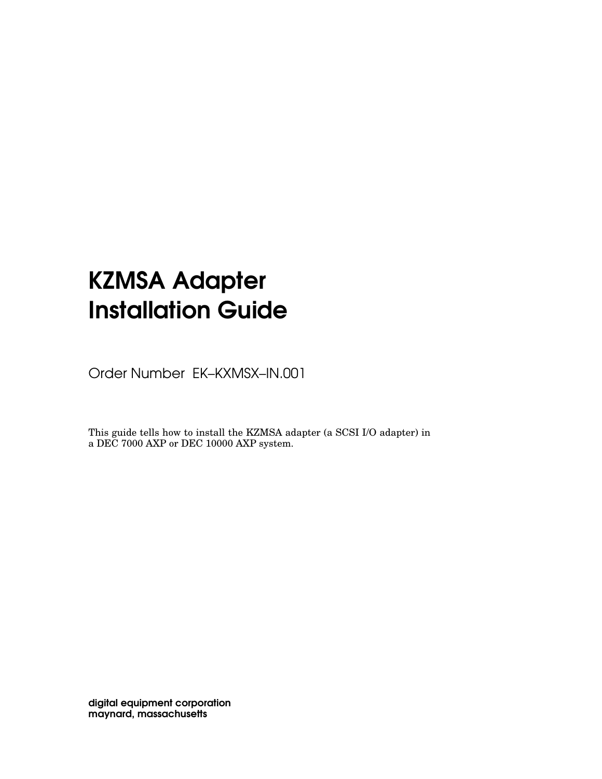# KZMSA Adapter Installation Guide

Order Number EK–KXMSX–IN.001

This guide tells how to install the KZMSA adapter (a SCSI I/O adapter) in a DEC 7000 AXP or DEC 10000 AXP system.

digital equipment corporation maynard, massachusetts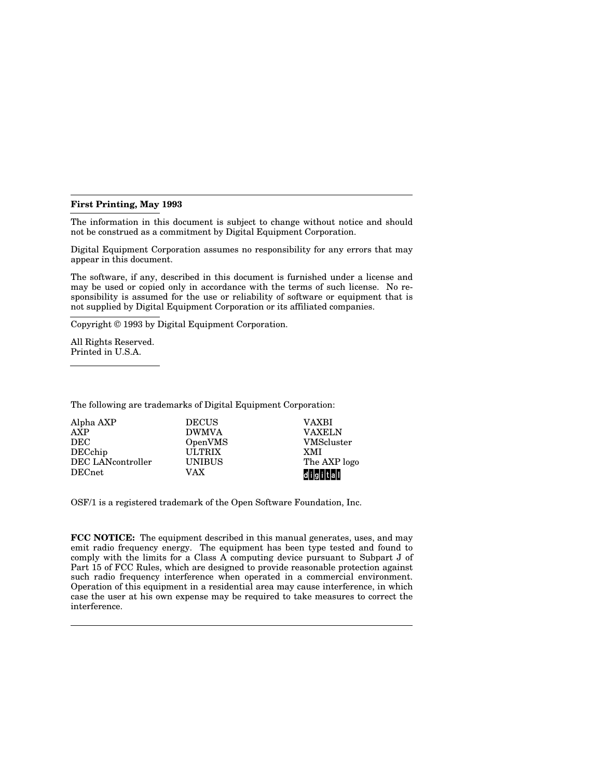#### **First Printing, May 1993**

The information in this document is subject to change without notice and should not be construed as a commitment by Digital Equipment Corporation.

Digital Equipment Corporation assumes no responsibility for any errors that may appear in this document.

The software, if any, described in this document is furnished under a license and may be used or copied only in accordance with the terms of such license. No responsibility is assumed for the use or reliability of software or equipment that is not supplied by Digital Equipment Corporation or its affiliated companies.

Copyright © 1993 by Digital Equipment Corporation.

All Rights Reserved. Printed in U.S.A.

The following are trademarks of Digital Equipment Corporation:

| Alpha AXP         | <b>DECUS</b>  | <b>VAXBI</b>      |
|-------------------|---------------|-------------------|
| <b>AXP</b>        | <b>DWMVA</b>  | <b>VAXELN</b>     |
| DEC               | OpenVMS       | <b>VMScluster</b> |
| DECchip           | <b>ULTRIX</b> | XMI               |
| DEC LANcontroller | <b>UNIBUS</b> | The AXP logo      |
| <b>DECnet</b>     | VAX           | digital           |

OSF/1 is a registered trademark of the Open Software Foundation, Inc.

**FCC NOTICE:** The equipment described in this manual generates, uses, and may emit radio frequency energy. The equipment has been type tested and found to comply with the limits for a Class A computing device pursuant to Subpart J of Part 15 of FCC Rules, which are designed to provide reasonable protection against such radio frequency interference when operated in a commercial environment. Operation of this equipment in a residential area may cause interference, in which case the user at his own expense may be required to take measures to correct the interference.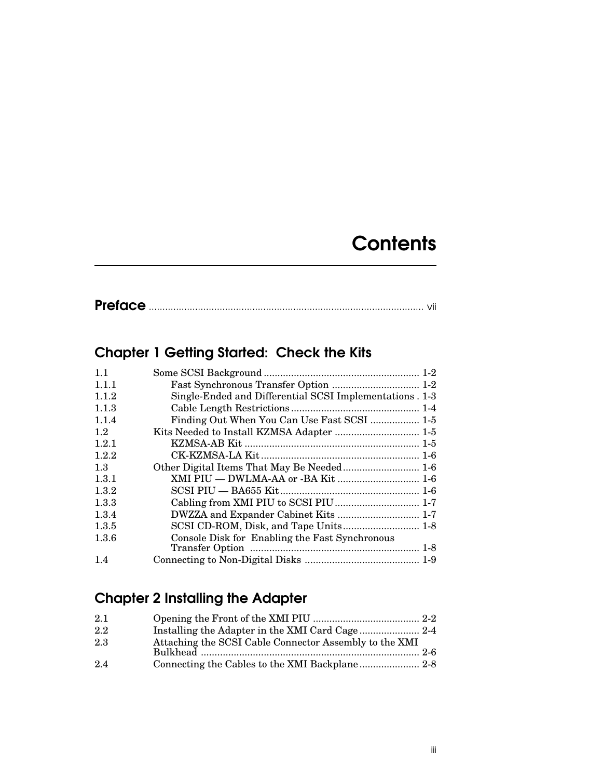# **Contents**

|--|--|

# Chapter 1 Getting Started: Check the Kits

| 1.1   |                                                         |  |
|-------|---------------------------------------------------------|--|
| 1.1.1 | Fast Synchronous Transfer Option  1-2                   |  |
| 1.1.2 | Single-Ended and Differential SCSI Implementations. 1-3 |  |
| 1.1.3 |                                                         |  |
| 1.1.4 | Finding Out When You Can Use Fast SCSI  1-5             |  |
| 1.2   | Kits Needed to Install KZMSA Adapter  1-5               |  |
| 1.2.1 |                                                         |  |
| 1.2.2 |                                                         |  |
| 1.3   |                                                         |  |
| 1.3.1 | XMI PIU - DWLMA-AA or -BA Kit  1-6                      |  |
| 1.3.2 |                                                         |  |
| 1.3.3 |                                                         |  |
| 1.3.4 | DWZZA and Expander Cabinet Kits  1-7                    |  |
| 1.3.5 | SCSI CD-ROM, Disk, and Tape Units 1-8                   |  |
| 1.3.6 | Console Disk for Enabling the Fast Synchronous          |  |
|       |                                                         |  |
| 1.4   |                                                         |  |

# Chapter 2 Installing the Adapter

| 2.1 |                                                        |  |
|-----|--------------------------------------------------------|--|
| 2.2 |                                                        |  |
| 2.3 | Attaching the SCSI Cable Connector Assembly to the XMI |  |
|     |                                                        |  |
| 2.4 |                                                        |  |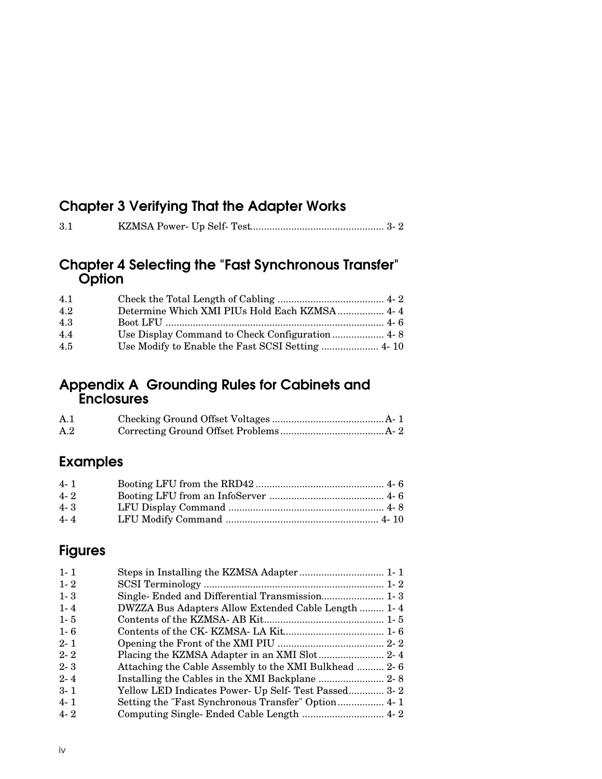# Chapter 3 Verifying That the Adapter Works

| 3.1 |  |  |  |
|-----|--|--|--|
|-----|--|--|--|

### Chapter 4 Selecting the "Fast Synchronous Transfer" **Option**

| 4.1 |                                              |  |
|-----|----------------------------------------------|--|
| 4.2 | Determine Which XMI PIUs Hold Each KZMSA 4-4 |  |
| 4.3 |                                              |  |
| 4.4 |                                              |  |
| 4.5 |                                              |  |

## Appendix A Grounding Rules for Cabinets and Enclosures

| A.1 |  |
|-----|--|
| A.2 |  |

# Examples

| $4 - 1$ |  |
|---------|--|
| $4 - 2$ |  |
| $4 - 3$ |  |
| $4 - 4$ |  |

# Figures

| $1 - 1$                                                          |  |
|------------------------------------------------------------------|--|
|                                                                  |  |
| $1 - 2$                                                          |  |
| Single- Ended and Differential Transmission 1-3<br>$1 - 3$       |  |
| DWZZA Bus Adapters Allow Extended Cable Length  1-4<br>$1 - 4$   |  |
| $1 - 5$                                                          |  |
| $1 - 6$                                                          |  |
| $2 - 1$                                                          |  |
| $2 - 2$                                                          |  |
| Attaching the Cable Assembly to the XMI Bulkhead  2-6<br>$2 - 3$ |  |
| $2 - 4$                                                          |  |
| Yellow LED Indicates Power- Up Self- Test Passed 3-2<br>$3 - 1$  |  |
| $4 - 1$                                                          |  |
| $4 - 2$                                                          |  |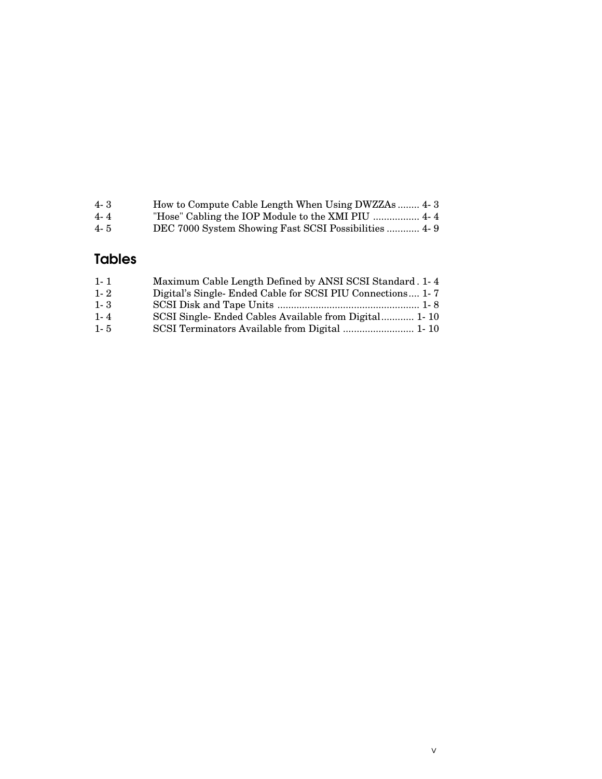| $4 - 3$ | How to Compute Cable Length When Using DWZZAs  4-3   |
|---------|------------------------------------------------------|
| 4-4     |                                                      |
| $4 - 5$ | DEC 7000 System Showing Fast SCSI Possibilities  4-9 |
|         |                                                      |

# Tables

| $1 - 1$ | Maximum Cable Length Defined by ANSI SCSI Standard. 1-4   |
|---------|-----------------------------------------------------------|
| $1 - 2$ | Digital's Single-Ended Cable for SCSI PIU Connections 1-7 |
| $1 - 3$ |                                                           |
| $1 - 4$ | SCSI Single-Ended Cables Available from Digital 1-10      |
| $1 - 5$ | SCSI Terminators Available from Digital  1-10             |
|         |                                                           |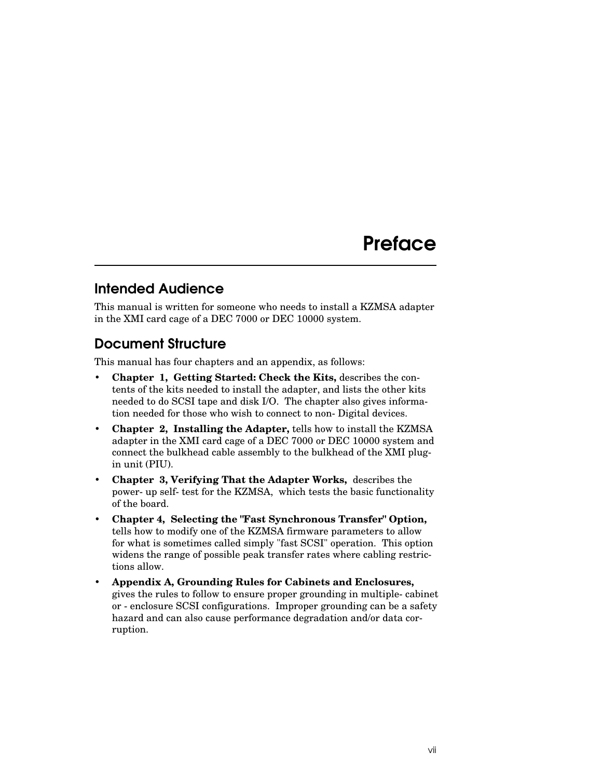# **Preface**

# Intended Audience

This manual is written for someone who needs to install a KZMSA adapter in the XMI card cage of a DEC 7000 or DEC 10000 system.

## Document Structure

This manual has four chapters and an appendix, as follows:

- **Chapter 1, Getting Started: Check the Kits,** describes the contents of the kits needed to install the adapter, and lists the other kits needed to do SCSI tape and disk I/O. The chapter also gives information needed for those who wish to connect to non-Digital devices.
- **Chapter 2, Installing the Adapter,** tells how to install the KZMSA adapter in the XMI card cage of a DEC 7000 or DEC 10000 system and connect the bulkhead cable assembly to the bulkhead of the XMI plugin unit (PIU).
- **Chapter 3, Verifying That the Adapter Works,** describes the power-up self-test for the KZMSA, which tests the basic functionality of the board.
- **Chapter 4, Selecting the "Fast Synchronous Transfer" Option,**  tells how to modify one of the KZMSA firmware parameters to allow for what is sometimes called simply "fast SCSI" operation. This option widens the range of possible peak transfer rates where cabling restrictions allow.
- **Appendix A, Grounding Rules for Cabinets and Enclosures,** gives the rules to follow to ensure proper grounding in multiple-cabinet or -enclosure SCSI configurations. Improper grounding can be a safety hazard and can also cause performance degradation and/or data corruption.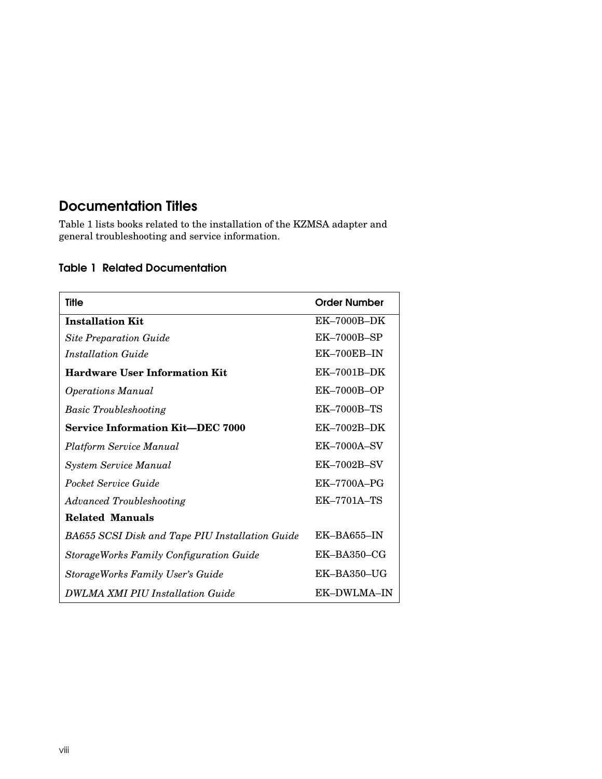# Documentation Titles

Table 1 lists books related to the installation of the KZMSA adapter and general troubleshooting and service information.

### Table 1 Related Documentation

| <b>Title</b>                                    | <b>Order Number</b> |
|-------------------------------------------------|---------------------|
| <b>Installation Kit</b>                         | $EK-7000B-DK$       |
| <b>Site Preparation Guide</b>                   | $EK-7000B-SP$       |
| <i>Installation Guide</i>                       | $EK-700EB-IN$       |
| <b>Hardware User Information Kit</b>            | $EK-7001B-DK$       |
| <b>Operations Manual</b>                        | $EK-7000B-OP$       |
| <b>Basic Troubleshooting</b>                    | EK-7000B-TS         |
| <b>Service Information Kit-DEC 7000</b>         | $EK-7002B-DK$       |
| Platform Service Manual                         | $EK-7000A-SV$       |
| <b>System Service Manual</b>                    | $EK$ -7002B-SV      |
| Pocket Service Guide                            | $EK-7700A-PG$       |
| <b>Advanced Troubleshooting</b>                 | $EK-7701A-TS$       |
| <b>Related Manuals</b>                          |                     |
| BA655 SCSI Disk and Tape PIU Installation Guide | $EK-BAG55-N$        |
| StorageWorks Family Configuration Guide         | $EK-BA350-CG$       |
| <b>StorageWorks Family User's Guide</b>         | $EK-BA350-UG$       |
| <b>DWLMA XMI PIU Installation Guide</b>         | EK-DWLMA-IN         |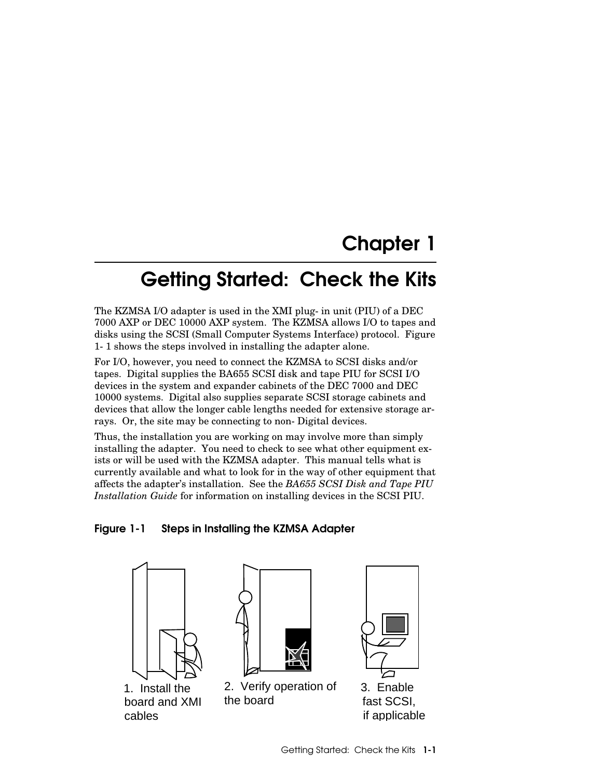# Chapter 1

# Getting Started: Check the Kits

The KZMSA I/O adapter is used in the XMI plug-in unit (PIU) of a DEC 7000 AXP or DEC 10000 AXP system. The KZMSA allows I/O to tapes and disks using the SCSI (Small Computer Systems Interface) protocol. Figure 1-1 shows the steps involved in installing the adapter alone.

For I/O, however, you need to connect the KZMSA to SCSI disks and/or tapes. Digital supplies the BA655 SCSI disk and tape PIU for SCSI I/O devices in the system and expander cabinets of the DEC 7000 and DEC 10000 systems. Digital also supplies separate SCSI storage cabinets and devices that allow the longer cable lengths needed for extensive storage arrays. Or, the site may be connecting to non-Digital devices.

Thus, the installation you are working on may involve more than simply installing the adapter. You need to check to see what other equipment exists or will be used with the KZMSA adapter. This manual tells what is currently available and what to look for in the way of other equipment that affects the adapter's installation. See the *BA655 SCSI Disk and Tape PIU Installation Guide* for information on installing devices in the SCSI PIU.

#### Figure 1-1 Steps in Installing the KZMSA Adapter



1. Install the board and XMI cables



2. Verify operation of 3. Enable the board



 fast SCSI, if applicable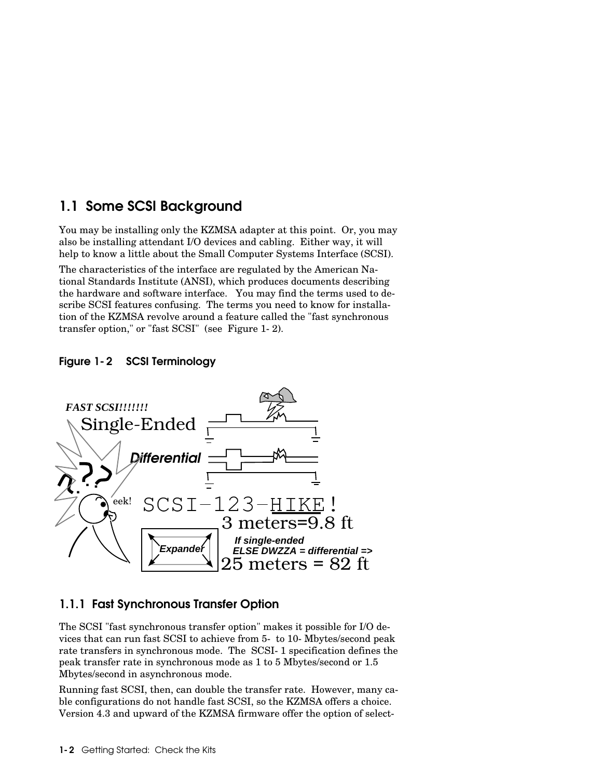## 1.1 Some SCSI Background

You may be installing only the KZMSA adapter at this point. Or, you may also be installing attendant I/O devices and cabling. Either way, it will help to know a little about the Small Computer Systems Interface (SCSI).

The characteristics of the interface are regulated by the American National Standards Institute (ANSI), which produces documents describing the hardware and software interface. You may find the terms used to describe SCSI features confusing. The terms you need to know for installation of the KZMSA revolve around a feature called the "fast synchronous transfer option," or "fast SCSI" (see Figure 1-2).

#### Figure 1-2 SCSI Terminology



### 1.1.1 Fast Synchronous Transfer Option

The SCSI "fast synchronous transfer option" makes it possible for I/O devices that can run fast SCSI to achieve from 5- to 10-Mbytes/second peak rate transfers in synchronous mode. The SCSI-1 specification defines the peak transfer rate in synchronous mode as 1 to 5 Mbytes/second or 1.5 Mbytes/second in asynchronous mode.

Running fast SCSI, then, can double the transfer rate. However, many cable configurations do not handle fast SCSI, so the KZMSA offers a choice. Version 4.3 and upward of the KZMSA firmware offer the option of select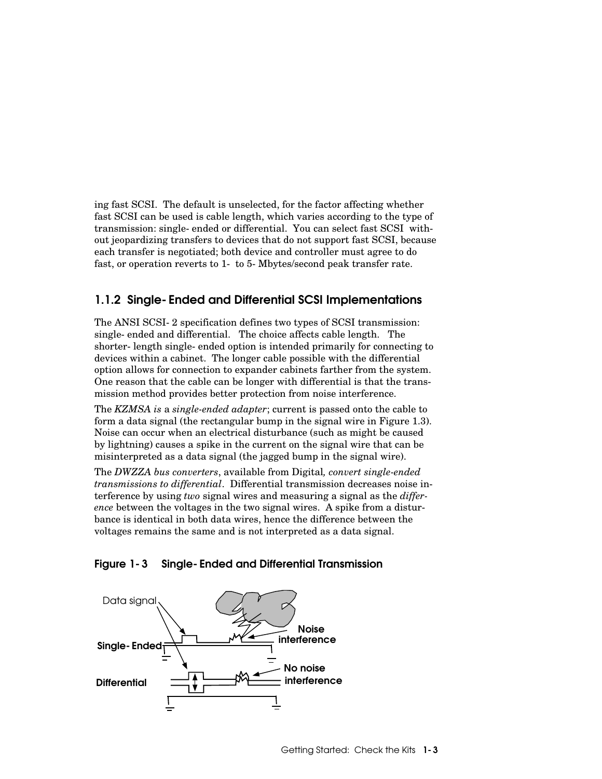ing fast SCSI. The default is unselected, for the factor affecting whether fast SCSI can be used is cable length, which varies according to the type of transmission: single-ended or differential. You can select fast SCSI without jeopardizing transfers to devices that do not support fast SCSI, because each transfer is negotiated; both device and controller must agree to do fast, or operation reverts to 1- to 5-Mbytes/second peak transfer rate.

### 1.1.2 Single-Ended and Differential SCSI Implementations

The ANSI SCSI-2 specification defines two types of SCSI transmission: single-ended and differential. The choice affects cable length. The shorter-length single-ended option is intended primarily for connecting to devices within a cabinet. The longer cable possible with the differential option allows for connection to expander cabinets farther from the system. One reason that the cable can be longer with differential is that the transmission method provides better protection from noise interference.

The *KZMSA is* a *single-ended adapter*; current is passed onto the cable to form a data signal (the rectangular bump in the signal wire in Figure 1.3). Noise can occur when an electrical disturbance (such as might be caused by lightning) causes a spike in the current on the signal wire that can be misinterpreted as a data signal (the jagged bump in the signal wire).

The *DWZZA bus converters*, available from Digital*, convert single-ended transmissions to differential*. Differential transmission decreases noise interference by using *two* signal wires and measuring a signal as the *difference* between the voltages in the two signal wires. A spike from a disturbance is identical in both data wires, hence the difference between the voltages remains the same and is not interpreted as a data signal.

#### Figure 1-3 Single-Ended and Differential Transmission

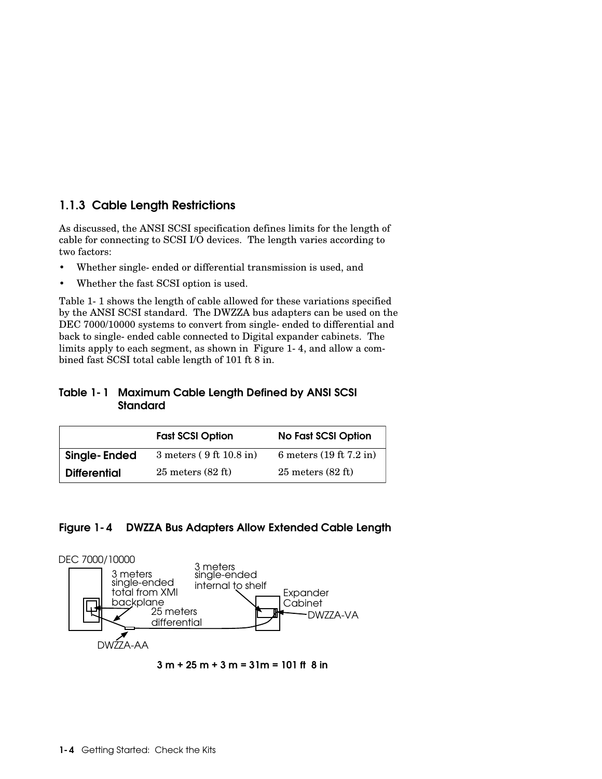### 1.1.3 Cable Length Restrictions

As discussed, the ANSI SCSI specification defines limits for the length of cable for connecting to SCSI I/O devices. The length varies according to two factors:

- Whether single-ended or differential transmission is used, and
- Whether the fast SCSI option is used.

Table 1-1 shows the length of cable allowed for these variations specified by the ANSI SCSI standard. The DWZZA bus adapters can be used on the DEC 7000/10000 systems to convert from single-ended to differential and back to single-ended cable connected to Digital expander cabinets. The limits apply to each segment, as shown in Figure 1-4, and allow a combined fast SCSI total cable length of 101 ft 8 in.

#### Table 1-1 Maximum Cable Length Defined by ANSI SCSI **Standard**

| <b>Fast SCSI Option</b> |                               | <b>No Fast SCSI Option</b>    |  |
|-------------------------|-------------------------------|-------------------------------|--|
| Single-Ended            | $3$ meters (9 ft 10.8 in)     | 6 meters $(19 ft 7.2 in)$     |  |
| <b>Differential</b>     | $25$ meters $(82 \text{ ft})$ | $25$ meters $(82 \text{ ft})$ |  |

#### Figure 1-4 DWZZA Bus Adapters Allow Extended Cable Length



3 m + 25 m + 3 m = 31m = 101 ft 8 in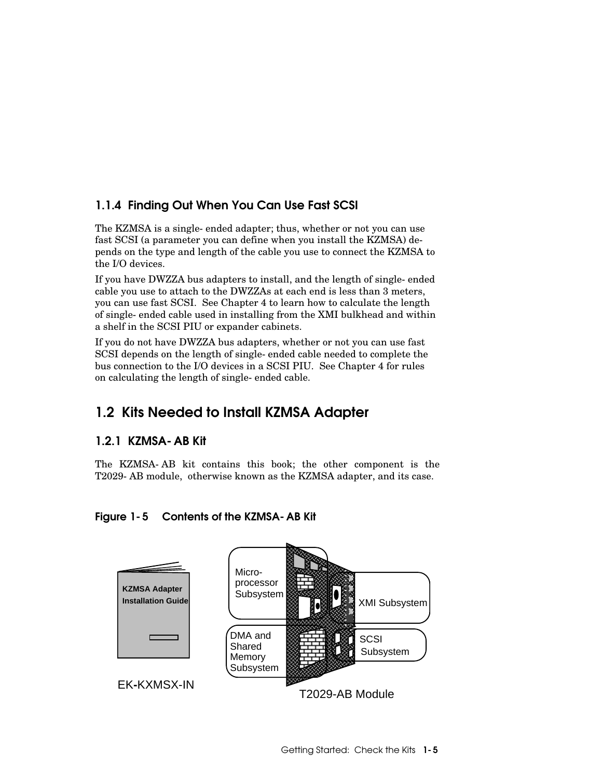## 1.1.4 Finding Out When You Can Use Fast SCSI

The KZMSA is a single-ended adapter; thus, whether or not you can use fast SCSI (a parameter you can define when you install the KZMSA) depends on the type and length of the cable you use to connect the KZMSA to the I/O devices.

If you have DWZZA bus adapters to install, and the length of single-ended cable you use to attach to the DWZZAs at each end is less than 3 meters, you can use fast SCSI. See Chapter 4 to learn how to calculate the length of single-ended cable used in installing from the XMI bulkhead and within a shelf in the SCSI PIU or expander cabinets.

If you do not have DWZZA bus adapters, whether or not you can use fast SCSI depends on the length of single-ended cable needed to complete the bus connection to the I/O devices in a SCSI PIU. See Chapter 4 for rules on calculating the length of single-ended cable.

# 1.2 Kits Needed to Install KZMSA Adapter

## 1.2.1 KZMSA-AB Kit

The KZMSA-AB kit contains this book; the other component is the T2029-AB module, otherwise known as the KZMSA adapter, and its case.

### Figure 1-5 Contents of the KZMSA-AB Kit

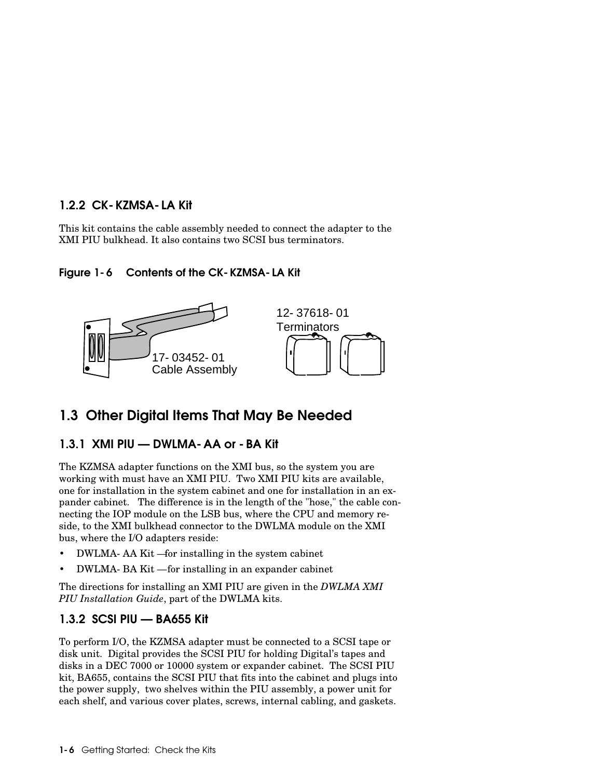#### 1.2.2 CK-KZMSA-LA Kit

This kit contains the cable assembly needed to connect the adapter to the XMI PIU bulkhead. It also contains two SCSI bus terminators.

#### Figure 1-6 Contents of the CK-KZMSA-LA Kit



# 1.3 Other Digital Items That May Be Needed

### 1.3.1 XMI PIU — DWLMA-AA or -BA Kit

The KZMSA adapter functions on the XMI bus, so the system you are working with must have an XMI PIU. Two XMI PIU kits are available, one for installation in the system cabinet and one for installation in an expander cabinet. The difference is in the length of the "hose," the cable connecting the IOP module on the LSB bus, where the CPU and memory reside, to the XMI bulkhead connector to the DWLMA module on the XMI bus, where the I/O adapters reside:

- DWLMA-AA Kit —for installing in the system cabinet
- DWLMA-BA Kit for installing in an expander cabinet

The directions for installing an XMI PIU are given in the *DWLMA XMI PIU Installation Guide*, part of the DWLMA kits.

## 1.3.2 SCSI PIU — BA655 Kit

To perform I/O, the KZMSA adapter must be connected to a SCSI tape or disk unit. Digital provides the SCSI PIU for holding Digital's tapes and disks in a DEC 7000 or 10000 system or expander cabinet. The SCSI PIU kit, BA655, contains the SCSI PIU that fits into the cabinet and plugs into the power supply, two shelves within the PIU assembly, a power unit for each shelf, and various cover plates, screws, internal cabling, and gaskets.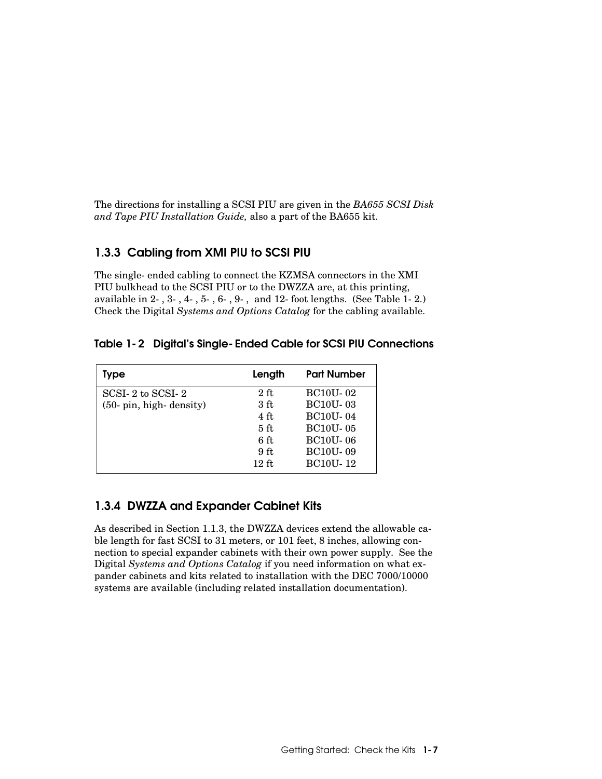The directions for installing a SCSI PIU are given in the *BA655 SCSI Disk and Tape PIU Installation Guide,* also a part of the BA655 kit.

### 1.3.3 Cabling from XMI PIU to SCSI PIU

The single-ended cabling to connect the KZMSA connectors in the XMI PIU bulkhead to the SCSI PIU or to the DWZZA are, at this printing, available in 2-, 3-, 4-, 5-, 6-, 9-, and 12-foot lengths. (See Table 1-2.) Check the Digital *Systems and Options Catalog* for the cabling available.

|  | Table 1-2 Digital's Single-Ended Cable for SCSI PIU Connections |
|--|-----------------------------------------------------------------|
|--|-----------------------------------------------------------------|

| Type                    | Length          | <b>Part Number</b> |
|-------------------------|-----------------|--------------------|
| SCSI-2 to SCSI-2        | $2$ ft          | <b>BC10U-02</b>    |
| (50- pin, high-density) | 3 ft            | <b>BC10U-03</b>    |
|                         | 4 ft            | <b>BC10U-04</b>    |
|                         | 5 <sub>ft</sub> | <b>BC10U-05</b>    |
|                         | 6ft             | <b>BC10U-06</b>    |
|                         | 9 <sub>ft</sub> | <b>BC10U-09</b>    |
|                         | $12 \text{ ft}$ | <b>BC10U-12</b>    |

## 1.3.4 DWZZA and Expander Cabinet Kits

As described in Section 1.1.3, the DWZZA devices extend the allowable cable length for fast SCSI to 31 meters, or 101 feet, 8 inches, allowing connection to special expander cabinets with their own power supply. See the Digital *Systems and Options Catalog* if you need information on what expander cabinets and kits related to installation with the DEC 7000/10000 systems are available (including related installation documentation).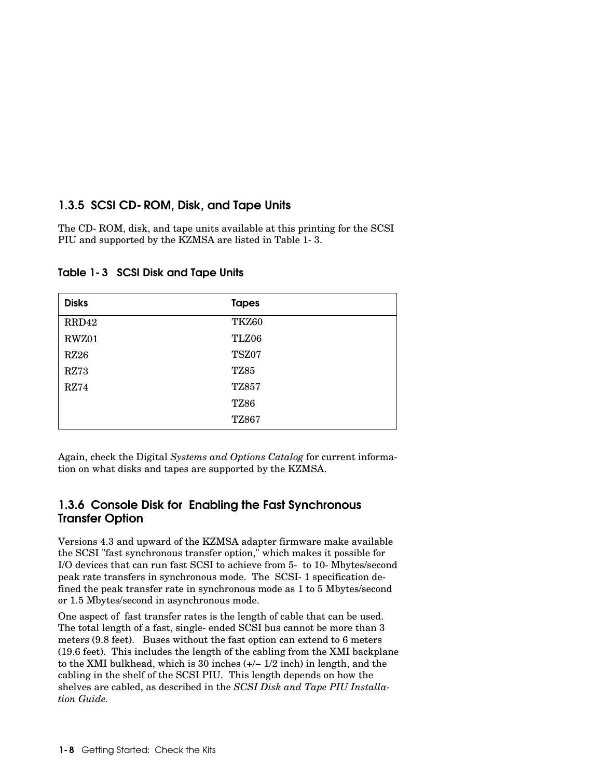### 1.3.5 SCSI CD-ROM, Disk, and Tape Units

The CD-ROM, disk, and tape units available at this printing for the SCSI PIU and supported by the KZMSA are listed in Table 1-3.

| <b>Disks</b> | <b>Tapes</b> |
|--------------|--------------|
| RRD42        | TKZ60        |
| RWZ01        | TLZ06        |
| <b>RZ26</b>  | TSZ07        |
| <b>RZ73</b>  | <b>TZ85</b>  |
| RZ74         | <b>TZ857</b> |
|              | <b>TZ86</b>  |
|              | <b>TZ867</b> |

Table 1-3 SCSI Disk and Tape Units

Again, check the Digital *Systems and Options Catalog* for current information on what disks and tapes are supported by the KZMSA.

### 1.3.6 Console Disk for Enabling the Fast Synchronous Transfer Option

Versions 4.3 and upward of the KZMSA adapter firmware make available the SCSI "fast synchronous transfer option," which makes it possible for I/O devices that can run fast SCSI to achieve from 5- to 10-Mbytes/second peak rate transfers in synchronous mode. The SCSI-1 specification defined the peak transfer rate in synchronous mode as 1 to 5 Mbytes/second or 1.5 Mbytes/second in asynchronous mode.

One aspect of fast transfer rates is the length of cable that can be used. The total length of a fast, single-ended SCSI bus cannot be more than 3 meters (9.8 feet). Buses without the fast option can extend to 6 meters (19.6 feet). This includes the length of the cabling from the XMI backplane to the XMI bulkhead, which is 30 inches (+/− 1/2 inch) in length, and the cabling in the shelf of the SCSI PIU. This length depends on how the shelves are cabled, as described in the *SCSI Disk and Tape PIU Installation Guide.*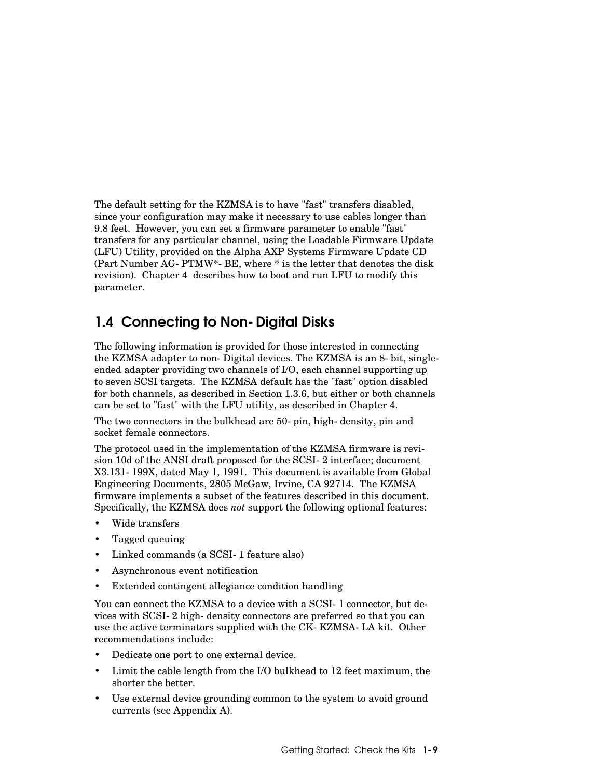The default setting for the KZMSA is to have "fast" transfers disabled, since your configuration may make it necessary to use cables longer than 9.8 feet. However, you can set a firmware parameter to enable "fast" transfers for any particular channel, using the Loadable Firmware Update (LFU) Utility, provided on the Alpha AXP Systems Firmware Update CD (Part Number AG-PTMW\*-BE, where \* is the letter that denotes the disk revision). Chapter 4 describes how to boot and run LFU to modify this parameter.

# 1.4 Connecting to Non-Digital Disks

The following information is provided for those interested in connecting the KZMSA adapter to non-Digital devices. The KZMSA is an 8-bit, singleended adapter providing two channels of I/O, each channel supporting up to seven SCSI targets. The KZMSA default has the "fast" option disabled for both channels, as described in Section 1.3.6, but either or both channels can be set to "fast" with the LFU utility, as described in Chapter 4.

The two connectors in the bulkhead are 50-pin, high-density, pin and socket female connectors.

The protocol used in the implementation of the KZMSA firmware is revision 10d of the ANSI draft proposed for the SCSI-2 interface; document X3.131-199X, dated May 1, 1991. This document is available from Global Engineering Documents, 2805 McGaw, Irvine, CA 92714. The KZMSA firmware implements a subset of the features described in this document. Specifically, the KZMSA does *not* support the following optional features:

- Wide transfers
- Tagged queuing
- Linked commands (a SCSI-1 feature also)
- Asynchronous event notification
- Extended contingent allegiance condition handling

You can connect the KZMSA to a device with a SCSI-1 connector, but devices with SCSI-2 high-density connectors are preferred so that you can use the active terminators supplied with the CK-KZMSA-LA kit. Other recommendations include:

- Dedicate one port to one external device.
- Limit the cable length from the I/O bulkhead to 12 feet maximum, the shorter the better.
- Use external device grounding common to the system to avoid ground currents (see Appendix A).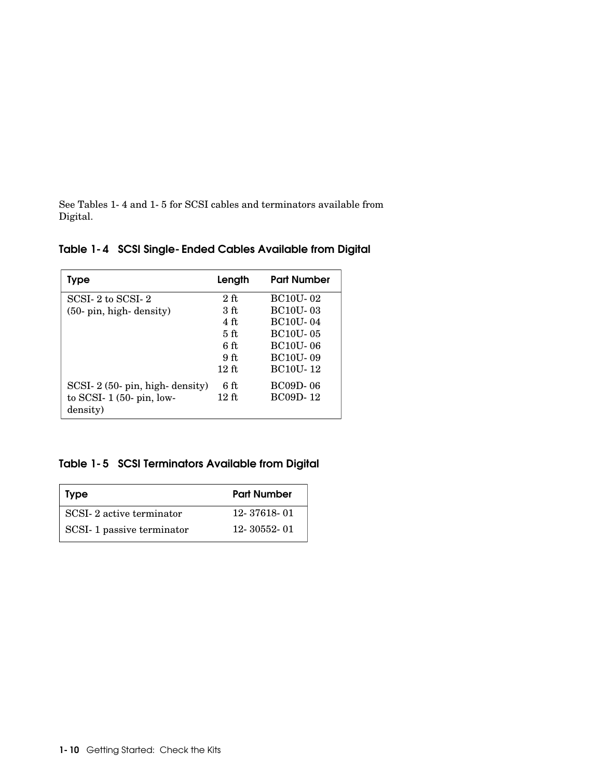See Tables 1-4 and 1-5 for SCSI cables and terminators available from Digital.

### Table 1-4 SCSI Single-Ended Cables Available from Digital

| Type                           | Length          | <b>Part Number</b> |
|--------------------------------|-----------------|--------------------|
| SCSI-2 to SCSI-2               | $2$ ft          | <b>BC10U-02</b>    |
| $(50 - pin, high-density)$     | 3 ft            | <b>BC10U-03</b>    |
|                                | 4 <sub>ft</sub> | <b>BC10U-04</b>    |
|                                | 5ff             | <b>BC10U-05</b>    |
|                                | 6ft             | <b>BC10U-06</b>    |
|                                | 9 <sub>ft</sub> | <b>BC10U-09</b>    |
|                                | $12$ ft         | <b>BC10U-12</b>    |
| $SCSI-2(50-pin, high-density)$ | 6ft             | <b>BC09D-06</b>    |
| to SCSI- $1(50$ - pin, low-    | $12$ ft.        | <b>BC09D-12</b>    |
| density)                       |                 |                    |

## Table 1-5 SCSI Terminators Available from Digital

| <b>Type</b>               | <b>Part Number</b> |
|---------------------------|--------------------|
| SCSI-2 active terminator  | 12-37618-01        |
| SCSI-1 passive terminator | 12-30552-01        |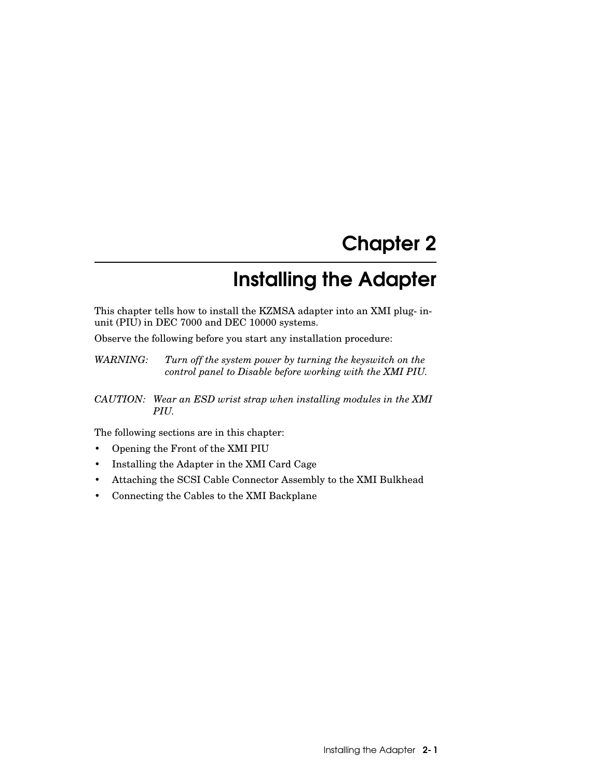# Chapter 2

# Installing the Adapter

This chapter tells how to install the KZMSA adapter into an XMI plug-inunit (PIU) in DEC 7000 and DEC 10000 systems.

Observe the following before you start any installation procedure:

*WARNING: Turn off the system power by turning the keyswitch on the control panel to Disable before working with the XMI PIU.*

*CAUTION: Wear an ESD wrist strap when installing modules in the XMI PIU.*

The following sections are in this chapter:

- Opening the Front of the XMI PIU
- Installing the Adapter in the XMI Card Cage
- Attaching the SCSI Cable Connector Assembly to the XMI Bulkhead
- Connecting the Cables to the XMI Backplane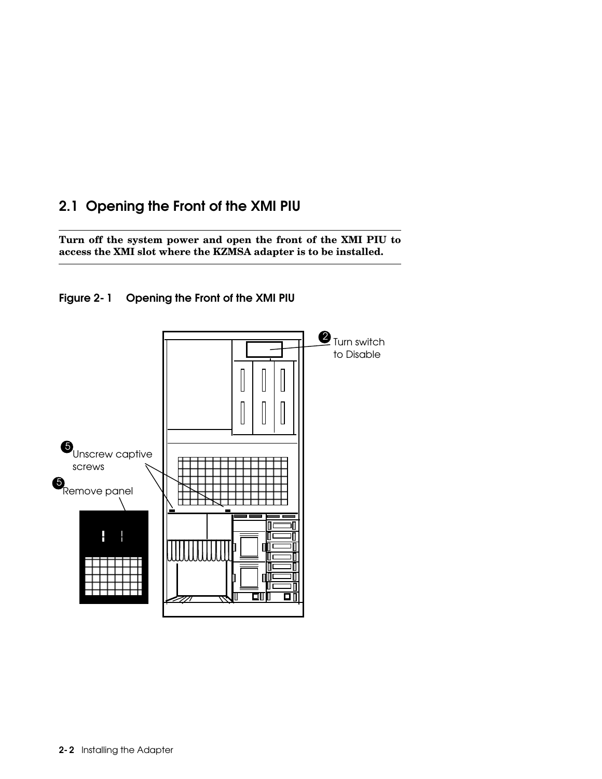# 2.1 Opening the Front of the XMI PIU

**Turn off the system power and open the front of the XMI PIU to access the XMI slot where the KZMSA adapter is to be installed.**



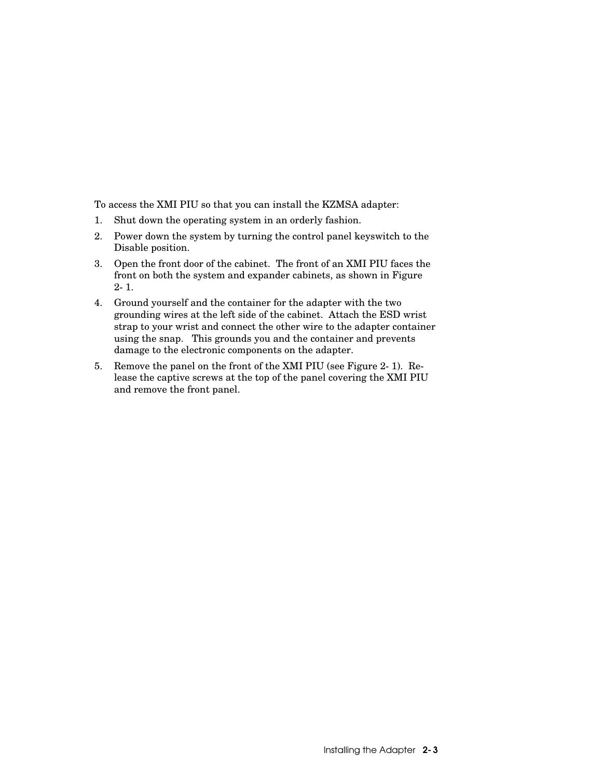To access the XMI PIU so that you can install the KZMSA adapter:

- 1. Shut down the operating system in an orderly fashion.
- 2. Power down the system by turning the control panel keyswitch to the Disable position.
- 3. Open the front door of the cabinet. The front of an XMI PIU faces the front on both the system and expander cabinets, as shown in Figure 2-1.
- 4. Ground yourself and the container for the adapter with the two grounding wires at the left side of the cabinet. Attach the ESD wrist strap to your wrist and connect the other wire to the adapter container using the snap. This grounds you and the container and prevents damage to the electronic components on the adapter.
- 5. Remove the panel on the front of the XMI PIU (see Figure 2-1). Release the captive screws at the top of the panel covering the XMI PIU and remove the front panel.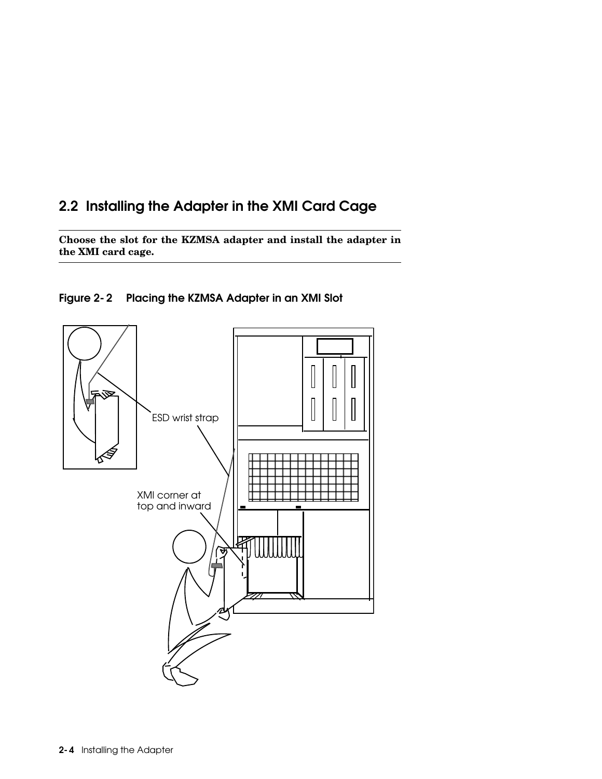# 2.2 Installing the Adapter in the XMI Card Cage

**Choose the slot for the KZMSA adapter and install the adapter in the XMI card cage.**



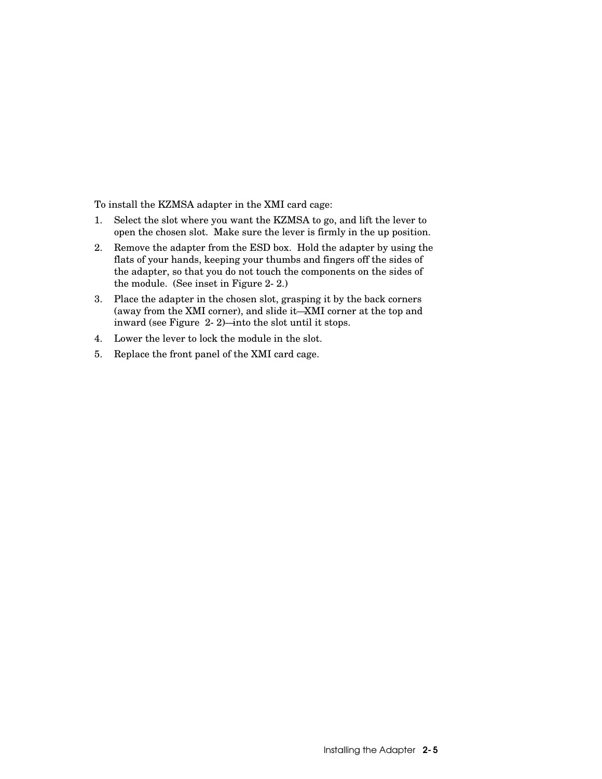To install the KZMSA adapter in the XMI card cage:

- 1. Select the slot where you want the KZMSA to go, and lift the lever to open the chosen slot. Make sure the lever is firmly in the up position.
- 2. Remove the adapter from the ESD box. Hold the adapter by using the flats of your hands, keeping your thumbs and fingers off the sides of the adapter, so that you do not touch the components on the sides of the module. (See inset in Figure 2-2.)
- 3. Place the adapter in the chosen slot, grasping it by the back corners (away from the XMI corner), and slide it—XMI corner at the top and inward (see Figure 2-2)—into the slot until it stops.
- 4. Lower the lever to lock the module in the slot.
- 5. Replace the front panel of the XMI card cage.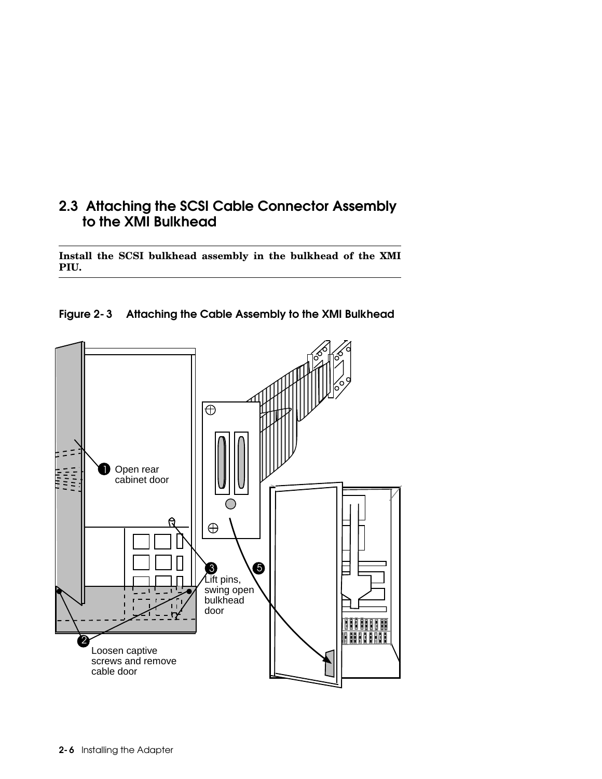# 2.3 Attaching the SCSI Cable Connector Assembly to the XMI Bulkhead

**Install the SCSI bulkhead assembly in the bulkhead of the XMI PIU.**



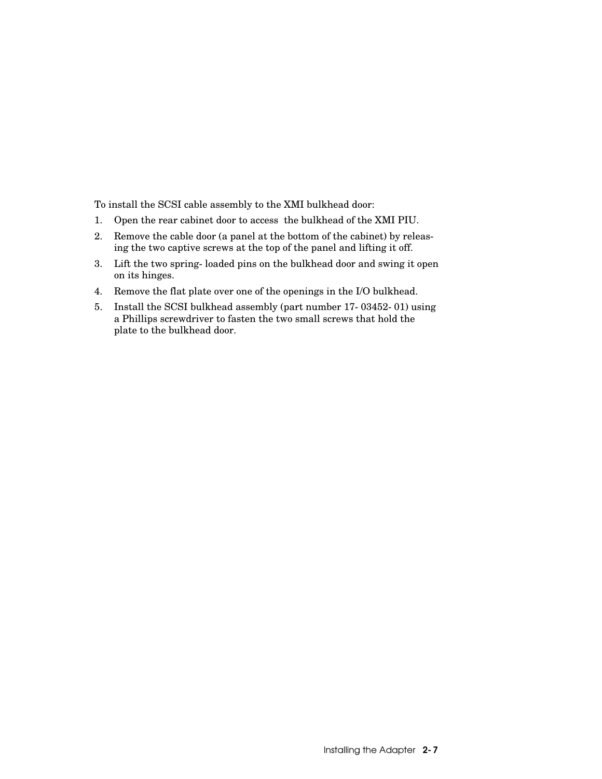To install the SCSI cable assembly to the XMI bulkhead door:

- 1. Open the rear cabinet door to access the bulkhead of the XMI PIU.
- 2. Remove the cable door (a panel at the bottom of the cabinet) by releasing the two captive screws at the top of the panel and lifting it off.
- 3. Lift the two spring-loaded pins on the bulkhead door and swing it open on its hinges.
- 4. Remove the flat plate over one of the openings in the I/O bulkhead.
- 5. Install the SCSI bulkhead assembly (part number 17-03452-01) using a Phillips screwdriver to fasten the two small screws that hold the plate to the bulkhead door.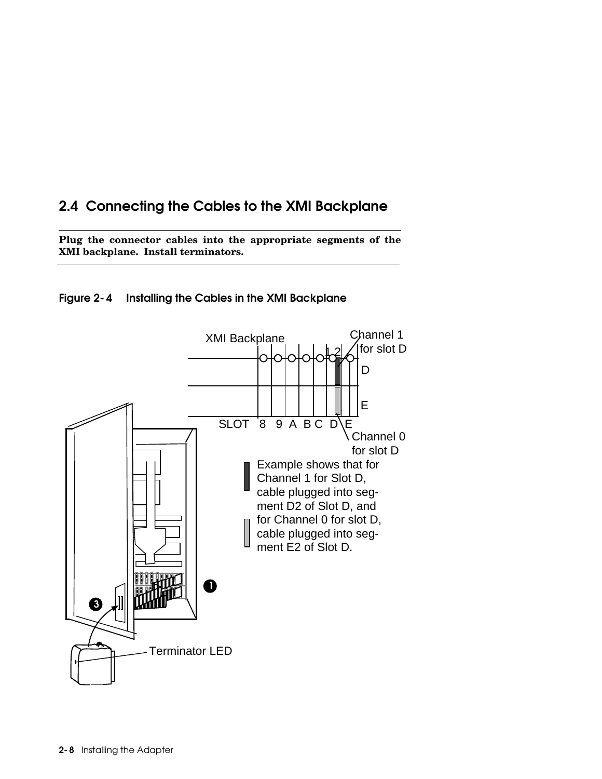# 2.4 Connecting the Cables to the XMI Backplane

**Plug the connector cables into the appropriate segments of the XMI backplane. Install terminators.**



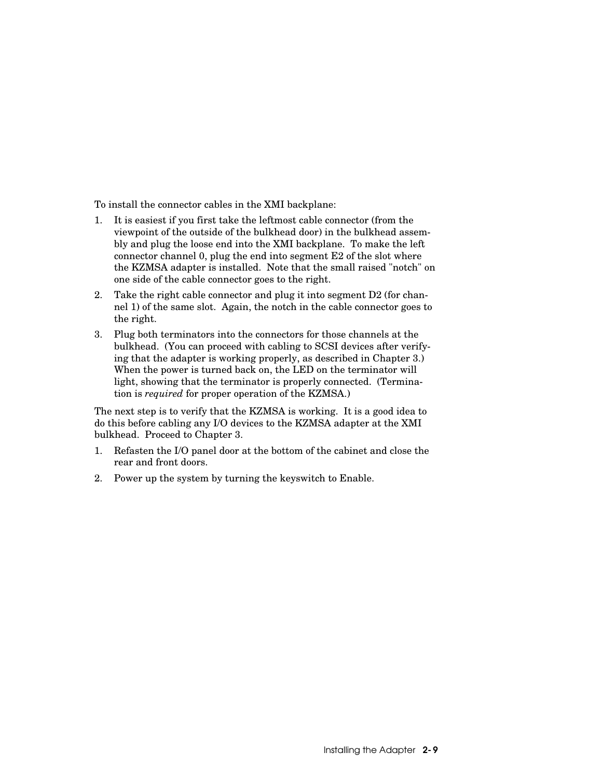To install the connector cables in the XMI backplane:

- 1. It is easiest if you first take the leftmost cable connector (from the viewpoint of the outside of the bulkhead door) in the bulkhead assembly and plug the loose end into the XMI backplane. To make the left connector channel 0, plug the end into segment E2 of the slot where the KZMSA adapter is installed. Note that the small raised "notch" on one side of the cable connector goes to the right.
- 2. Take the right cable connector and plug it into segment D2 (for channel 1) of the same slot. Again, the notch in the cable connector goes to the right.
- 3. Plug both terminators into the connectors for those channels at the bulkhead. (You can proceed with cabling to SCSI devices after verifying that the adapter is working properly, as described in Chapter 3.) When the power is turned back on, the LED on the terminator will light, showing that the terminator is properly connected. (Termination is *required* for proper operation of the KZMSA.)

The next step is to verify that the KZMSA is working. It is a good idea to do this before cabling any I/O devices to the KZMSA adapter at the XMI bulkhead. Proceed to Chapter 3.

- 1. Refasten the I/O panel door at the bottom of the cabinet and close the rear and front doors.
- 2. Power up the system by turning the keyswitch to Enable.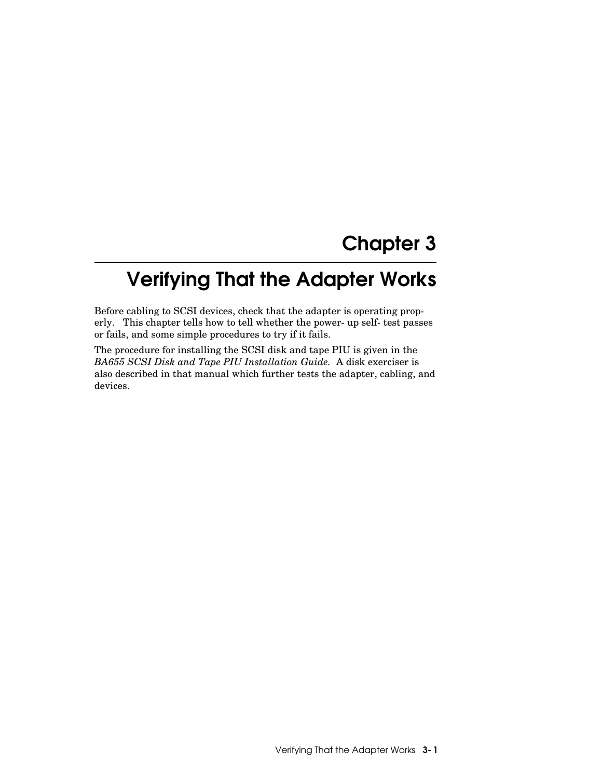# Chapter 3

# Verifying That the Adapter Works

Before cabling to SCSI devices, check that the adapter is operating properly. This chapter tells how to tell whether the power-up self-test passes or fails, and some simple procedures to try if it fails.

The procedure for installing the SCSI disk and tape PIU is given in the *BA655 SCSI Disk and Tape PIU Installation Guide.* A disk exerciser is also described in that manual which further tests the adapter, cabling, and devices.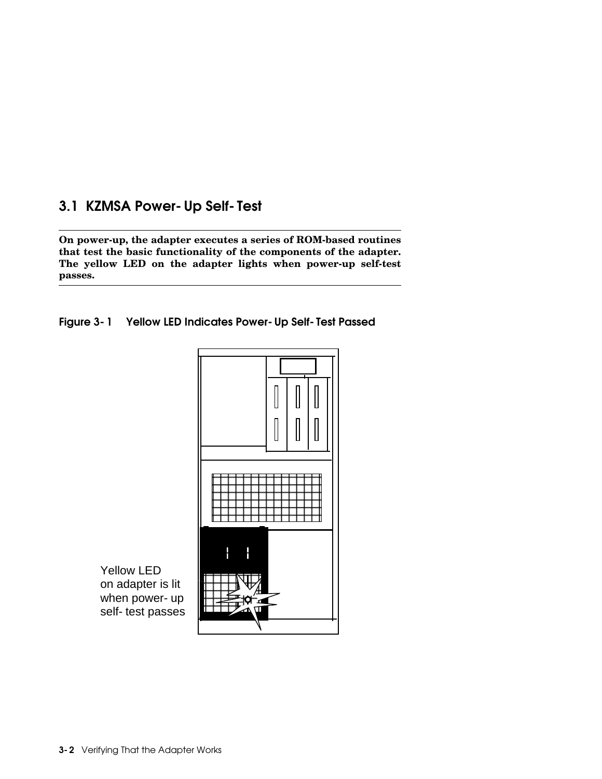# 3.1 KZMSA Power-Up Self-Test

**On power-up, the adapter executes a series of ROM-based routines that test the basic functionality of the components of the adapter. The yellow LED on the adapter lights when power-up self-test passes.**





Yellow LED on adapter is lit when power- up self-test passes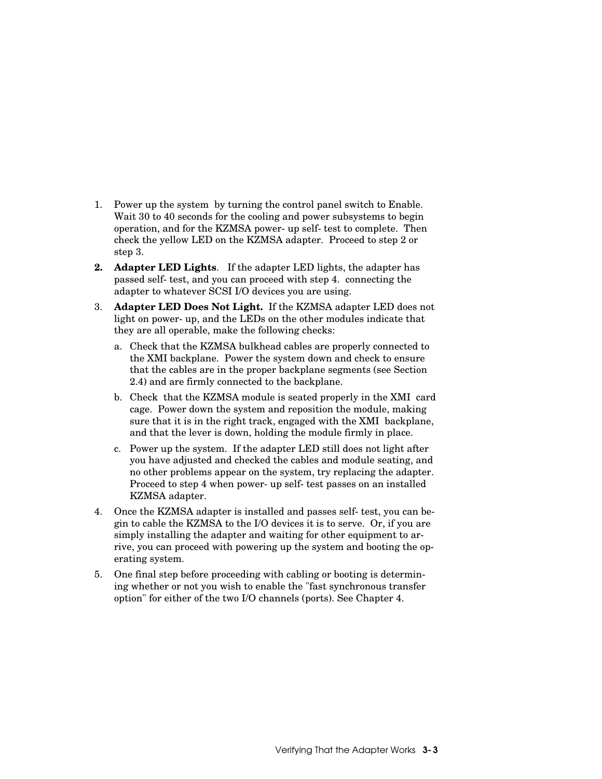- 1. Power up the system by turning the control panel switch to Enable. Wait 30 to 40 seconds for the cooling and power subsystems to begin operation, and for the KZMSA power-up self-test to complete. Then check the yellow LED on the KZMSA adapter. Proceed to step 2 or step 3.
- **2. Adapter LED Lights**. If the adapter LED lights, the adapter has passed self-test, and you can proceed with step 4. connecting the adapter to whatever SCSI I/O devices you are using.
- 3. **Adapter LED Does Not Light.** If the KZMSA adapter LED does not light on power-up, and the LEDs on the other modules indicate that they are all operable, make the following checks:
	- a. Check that the KZMSA bulkhead cables are properly connected to the XMI backplane. Power the system down and check to ensure that the cables are in the proper backplane segments (see Section 2.4) and are firmly connected to the backplane.
	- b. Check that the KZMSA module is seated properly in the XMI card cage. Power down the system and reposition the module, making sure that it is in the right track, engaged with the XMI backplane, and that the lever is down, holding the module firmly in place.
	- c. Power up the system. If the adapter LED still does not light after you have adjusted and checked the cables and module seating, and no other problems appear on the system, try replacing the adapter. Proceed to step 4 when power-up self-test passes on an installed KZMSA adapter.
- 4. Once the KZMSA adapter is installed and passes self-test, you can begin to cable the KZMSA to the I/O devices it is to serve. Or, if you are simply installing the adapter and waiting for other equipment to arrive, you can proceed with powering up the system and booting the operating system.
- 5. One final step before proceeding with cabling or booting is determining whether or not you wish to enable the "fast synchronous transfer option" for either of the two I/O channels (ports). See Chapter 4.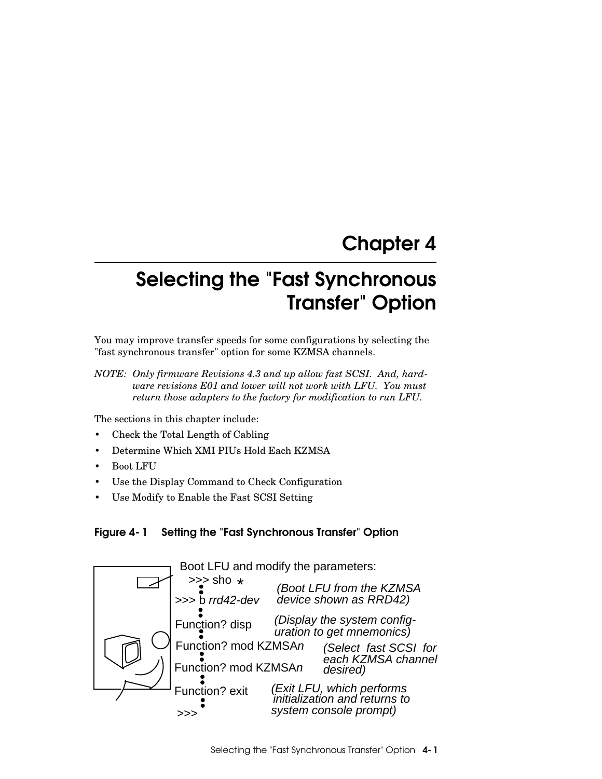# Chapter 4

# Selecting the "Fast Synchronous Transfer" Option

You may improve transfer speeds for some configurations by selecting the "fast synchronous transfer" option for some KZMSA channels.

*NOTE: Only firmware Revisions 4.3 and up allow fast SCSI. And, hardware revisions E01 and lower will not work with LFU. You must return those adapters to the factory for modification to run LFU.*

The sections in this chapter include:

- Check the Total Length of Cabling
- Determine Which XMI PIUs Hold Each KZMSA
- Boot LFU
- Use the Display Command to Check Configuration
- Use Modify to Enable the Fast SCSI Setting



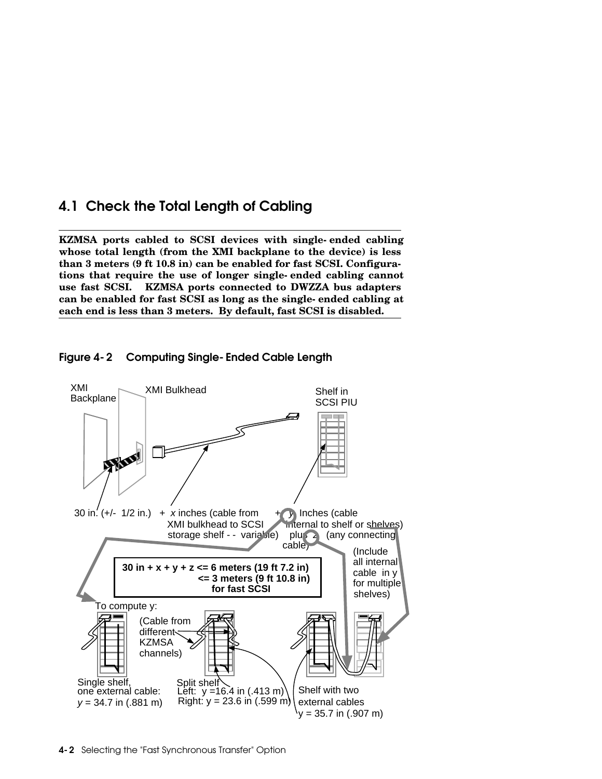# 4.1 Check the Total Length of Cabling

**KZMSA ports cabled to SCSI devices with single-ended cabling whose total length (from the XMI backplane to the device) is less than 3 meters (9 ft 10.8 in) can be enabled for fast SCSI. Configurations that require the use of longer single-ended cabling cannot use fast SCSI. KZMSA ports connected to DWZZA bus adapters can be enabled for fast SCSI as long as the single-ended cabling at each end is less than 3 meters. By default, fast SCSI is disabled.**



Figure 4-2 Computing Single-Ended Cable Length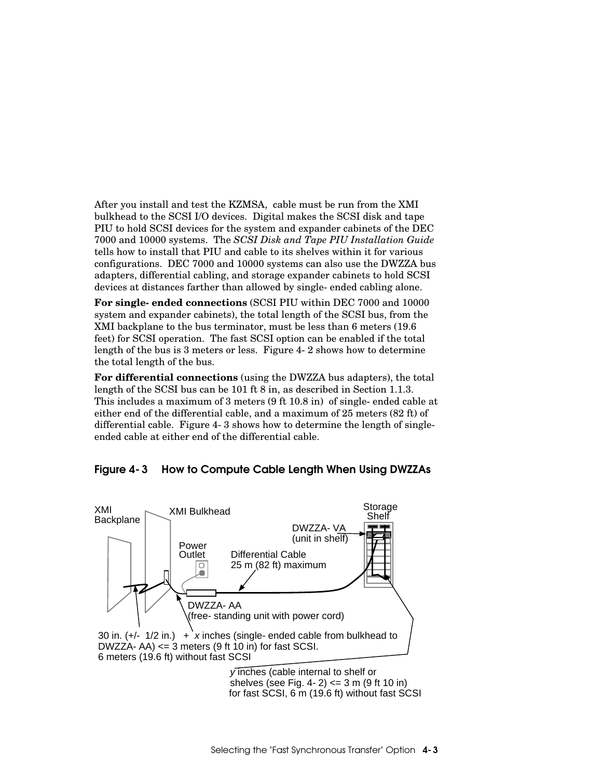After you install and test the KZMSA, cable must be run from the XMI bulkhead to the SCSI I/O devices. Digital makes the SCSI disk and tape PIU to hold SCSI devices for the system and expander cabinets of the DEC 7000 and 10000 systems. The *SCSI Disk and Tape PIU Installation Guide* tells how to install that PIU and cable to its shelves within it for various configurations. DEC 7000 and 10000 systems can also use the DWZZA bus adapters, differential cabling, and storage expander cabinets to hold SCSI devices at distances farther than allowed by single-ended cabling alone.

**For single-ended connections** (SCSI PIU within DEC 7000 and 10000 system and expander cabinets), the total length of the SCSI bus, from the XMI backplane to the bus terminator, must be less than 6 meters (19.6 feet) for SCSI operation. The fast SCSI option can be enabled if the total length of the bus is 3 meters or less. Figure 4-2 shows how to determine the total length of the bus.

**For differential connections** (using the DWZZA bus adapters), the total length of the SCSI bus can be 101 ft 8 in, as described in Section 1.1.3. This includes a maximum of 3 meters (9 ft 10.8 in) of single-ended cable at either end of the differential cable, and a maximum of 25 meters (82 ft) of differential cable. Figure 4-3 shows how to determine the length of singleended cable at either end of the differential cable.

#### Figure 4-3 How to Compute Cable Length When Using DWZZAs



for fast SCSI, 6 m (19.6 ft) without fast SCSI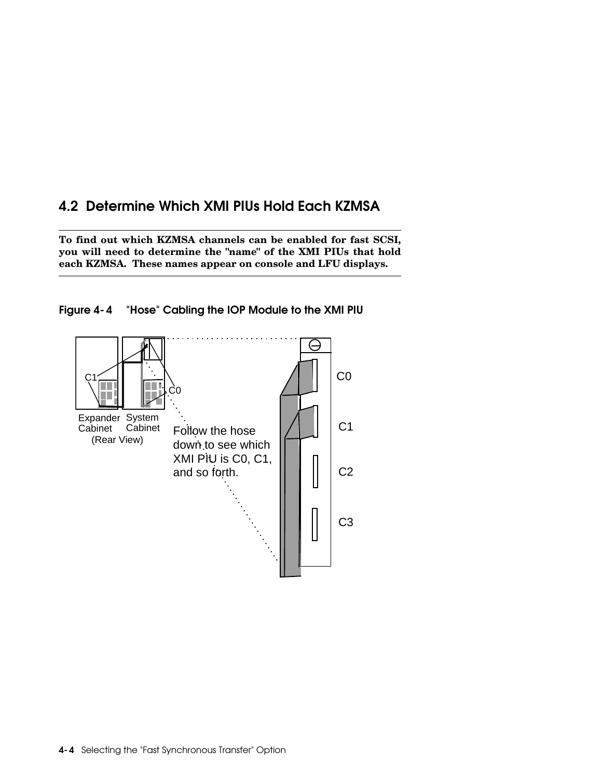# 4.2 Determine Which XMI PIUs Hold Each KZMSA

**To find out which KZMSA channels can be enabled for fast SCSI, you will need to determine the "name" of the XMI PIUs that hold each KZMSA. These names appear on console and LFU displays.** 



Figure 4-4 "Hose" Cabling the IOP Module to the XMI PIU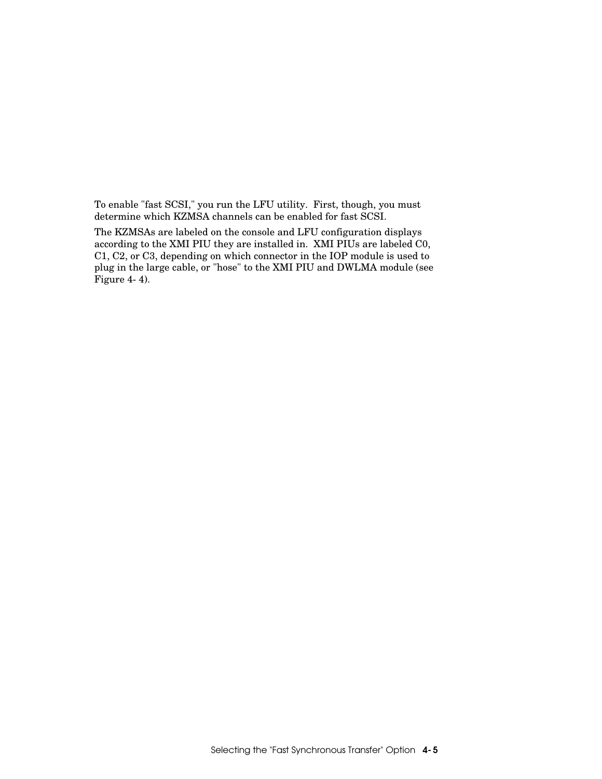To enable "fast SCSI," you run the LFU utility. First, though, you must determine which KZMSA channels can be enabled for fast SCSI.

The KZMSAs are labeled on the console and LFU configuration displays according to the XMI PIU they are installed in. XMI PIUs are labeled C0, C1, C2, or C3, depending on which connector in the IOP module is used to plug in the large cable, or "hose" to the XMI PIU and DWLMA module (see Figure 4-4).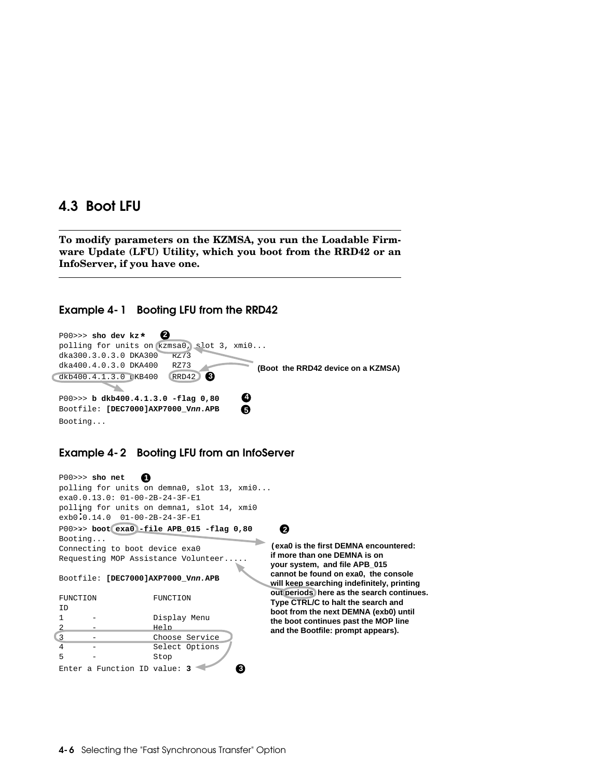### 4.3 Boot LFU

**To modify parameters on the KZMSA, you run the Loadable Firmware Update (LFU) Utility, which you boot from the RRD42 or an InfoServer, if you have one.**

#### Example 4-1 Booting LFU from the RRD42



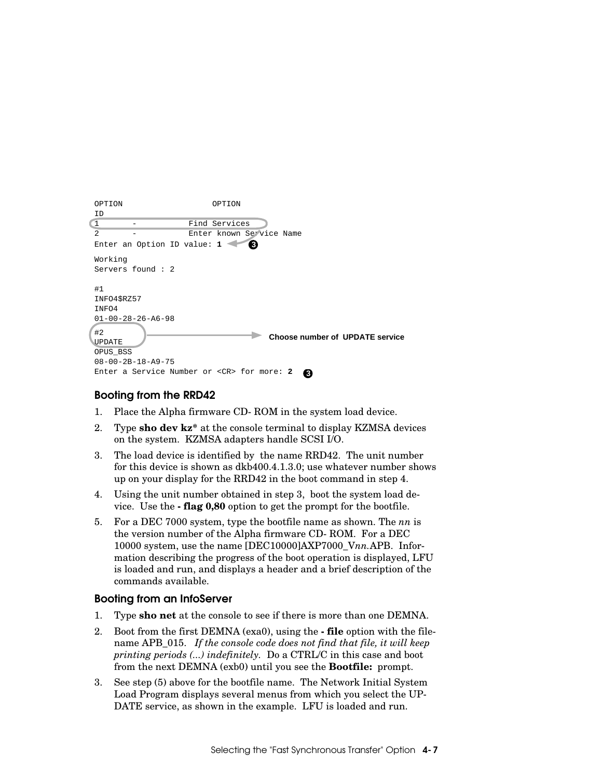| OPTION                     | OPTION                                                           |
|----------------------------|------------------------------------------------------------------|
| ID                         |                                                                  |
| $\mathbf{1}$               | Find Services                                                    |
| $\mathfrak{D}$             | Enter known Service Name                                         |
|                            | Ø<br>Enter an Option ID value: 1                                 |
| Working                    |                                                                  |
|                            | Servers found: 2                                                 |
| #1<br>INFO4\$RZ57<br>INFO4 |                                                                  |
| #2<br>UPDATE<br>OPUS_BSS   | $01 - 00 - 28 - 26 - A6 - 98$<br>Choose number of UPDATE service |
|                            | $08 - 00 - 2B - 18 - A9 - 75$                                    |
|                            | Enter a Service Number or <cr> for more: 2<br/>3</cr>            |

#### Booting from the RRD42

- 1. Place the Alpha firmware CD-ROM in the system load device.
- 2. Type **sho dev kz\*** at the console terminal to display KZMSA devices on the system. KZMSA adapters handle SCSI I/O.
- 3. The load device is identified by the name RRD42. The unit number for this device is shown as dkb400.4.1.3.0; use whatever number shows up on your display for the RRD42 in the boot command in step 4.
- 4. Using the unit number obtained in step 3, boot the system load device. Use the **-flag 0,80** option to get the prompt for the bootfile.
- 5. For a DEC 7000 system, type the bootfile name as shown. The *nn* is the version number of the Alpha firmware CD-ROM. For a DEC 10000 system, use the name [DEC10000]AXP7000\_V*nn.*APB. Information describing the progress of the boot operation is displayed, LFU is loaded and run, and displays a header and a brief description of the commands available.

#### Booting from an InfoServer

- 1. Type **sho net** at the console to see if there is more than one DEMNA.
- 2. Boot from the first DEMNA (exa0), using the **-file** option with the filename APB\_015. *If the console code does not find that file, it will keep printing periods (...) indefinitely.* Do a CTRL/C in this case and boot from the next DEMNA (exb0) until you see the **Bootfile:** prompt.
- 3. See step (5) above for the bootfile name. The Network Initial System Load Program displays several menus from which you select the UP-DATE service, as shown in the example. LFU is loaded and run.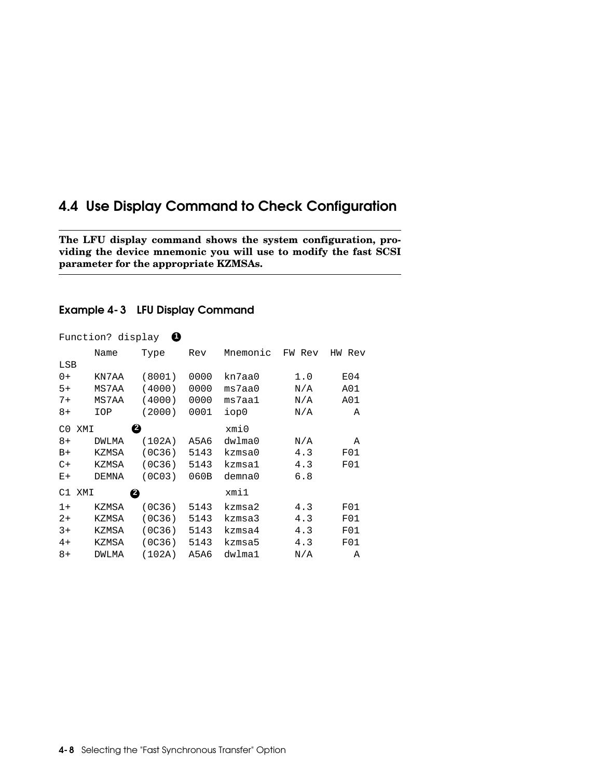## 4.4 Use Display Command to Check Configuration

**The LFU display command shows the system configuration, providing the device mnemonic you will use to modify the fast SCSI parameter for the appropriate KZMSAs.**

#### Example 4-3 LFU Display Command

| ranceron: arbhray |              |                     |      |          |        |           |
|-------------------|--------------|---------------------|------|----------|--------|-----------|
|                   | Name         | Type                | Rev  | Mnemonic | FW Rev | ΗW<br>Rev |
| LSB               |              |                     |      |          |        |           |
| $0+$              | KN7AA        | (8001)              | 0000 | kn7aa0   | 1.0    | E04       |
| $5+$              | MS7AA        | (4000)              | 0000 | ms7aa0   | N/A    | A01       |
| $7+$              | MS7AA        | (4000)              | 0000 | ms7aa1   | N/A    | A01       |
| 8+                | IOP          | (2000)              | 0001 | iop0     | N/A    | Α         |
| C <sub>0</sub>    | XMI          | ❷                   |      | xmi0     |        |           |
| $8+$              | <b>DWLMA</b> | (102A)              | A5A6 | dwlma0   | N/A    | Α         |
| $B+$              | KZMSA        | (OC36)              | 5143 | kzmsa0   | 4.3    | F01       |
| $C+$              | KZMSA        | (OC36)              | 5143 | kzmsa1   | 4.3    | F01       |
| $E+$              | DEMNA        | (0C <sub>03</sub> ) | 060B | demna0   | 6.8    |           |
| C1                | XMI          | ❷                   |      | xmi1     |        |           |
| $1+$              | KZMSA        | (0C36)              | 5143 | kzmsa2   | 4.3    | F01       |
| $2+$              | KZMSA        | (OC36)              | 5143 | kzmsa3   | 4.3    | F01       |
| $3+$              | KZMSA        | (OC36)              | 5143 | kzmsa4   | 4.3    | F01       |
| $4+$              | KZMSA        | (OC36)              | 5143 | kzmsa5   | 4.3    | F01       |
| $8+$              | DWLMA        | (102A)              | A5A6 | dwlma1   | N/A    | Α         |

#### Function? display **1**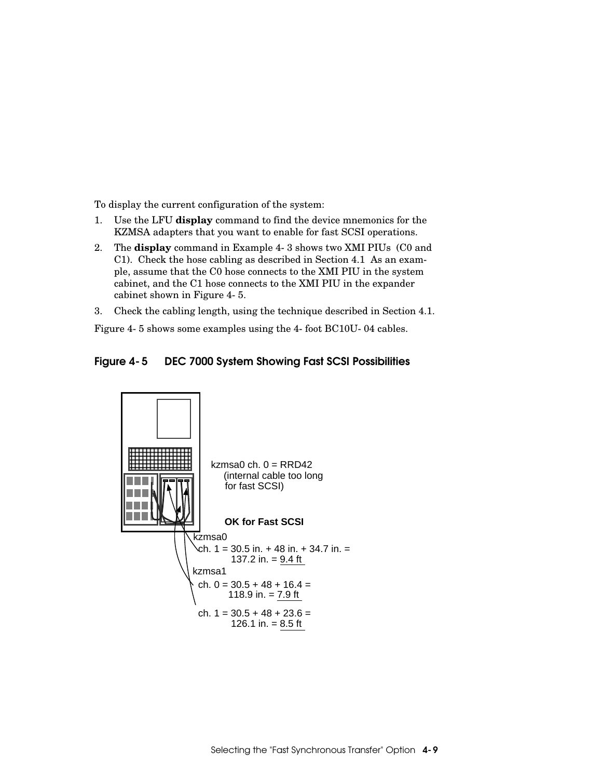To display the current configuration of the system:

- 1. Use the LFU **display** command to find the device mnemonics for the KZMSA adapters that you want to enable for fast SCSI operations.
- 2. The **display** command in Example 4-3 shows two XMI PIUs (C0 and C1). Check the hose cabling as described in Section 4.1 As an example, assume that the C0 hose connects to the XMI PIU in the system cabinet, and the C1 hose connects to the XMI PIU in the expander cabinet shown in Figure 4-5.
- 3. Check the cabling length, using the technique described in Section 4.1.

Figure 4-5 shows some examples using the 4-foot BC10U-04 cables.



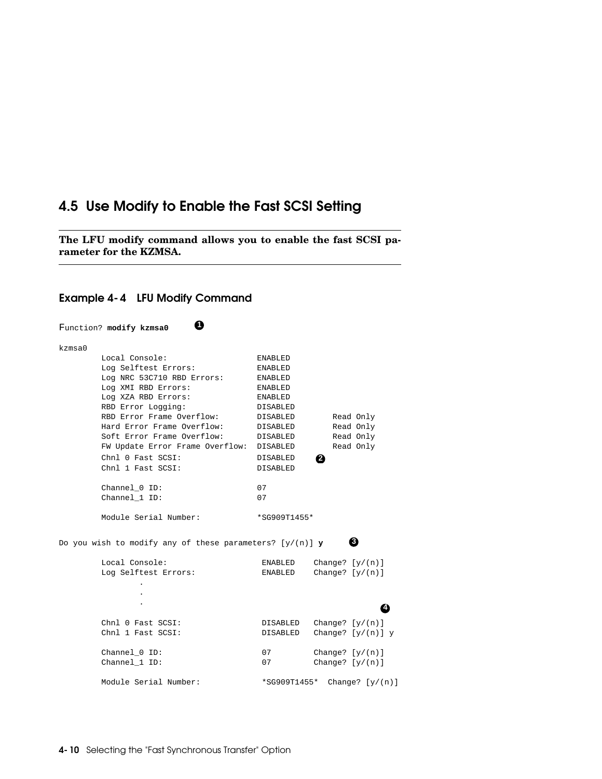## 4.5 Use Modify to Enable the Fast SCSI Setting

**The LFU modify command allows you to enable the fast SCSI parameter for the KZMSA.**



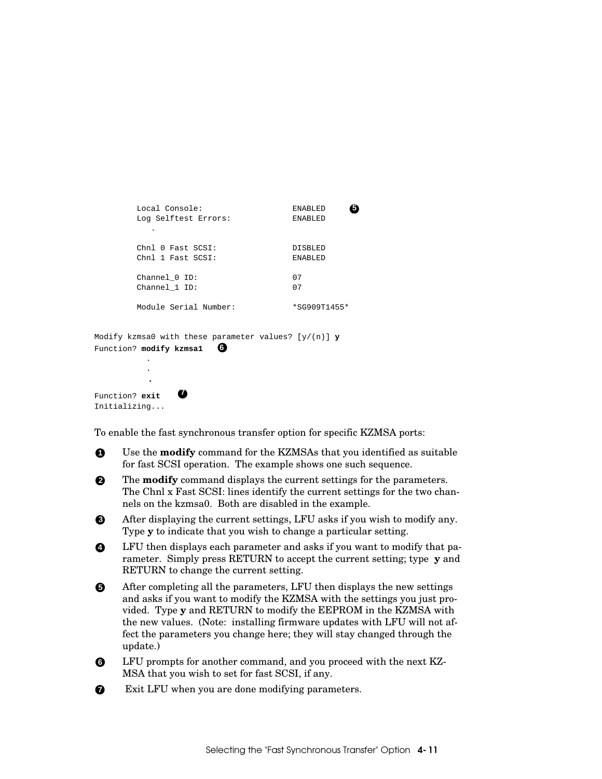```
Local Console: ENABLED 5
      Log Selftest Errors: ENABLED 
 .
     Chnl 0 Fast SCSI: DISBLED
      Chnl 1 Fast SCSI: ENABLED 
      Channel_0 ID: 07 
      Channel_1 ID: 07 
     Module Serial Number: *SG909T1455*
```

```
Modify kzmsa0 with these parameter values? [y/(n)] y
Function? modify kzmsa1 6
 .
 .
```
**<sup>7</sup>**

Function? **exit**  Initializing...

.

To enable the fast synchronous transfer option for specific KZMSA ports:

**1** Use the **modify** command for the KZMSAs that you identified as suitable for fast SCSI operation. The example shows one such sequence.

**2** The **modify** command displays the current settings for the parameters. The Chnl x Fast SCSI: lines identify the current settings for the two channels on the kzmsa0. Both are disabled in the example.

**3** After displaying the current settings, LFU asks if you wish to modify any. Type **y** to indicate that you wish to change a particular setting.

**4** LFU then displays each parameter and asks if you want to modify that parameter. Simply press RETURN to accept the current setting; type **y** and RETURN to change the current setting.

**5** After completing all the parameters, LFU then displays the new settings and asks if you want to modify the KZMSA with the settings you just provided. Type **y** and RETURN to modify the EEPROM in the KZMSA with the new values. (Note: installing firmware updates with LFU will not affect the parameters you change here; they will stay changed through the update.)

**6** LFU prompts for another command, and you proceed with the next KZ-MSA that you wish to set for fast SCSI, if any.

 $\bullet$  Exit LFU when you are done modifying parameters.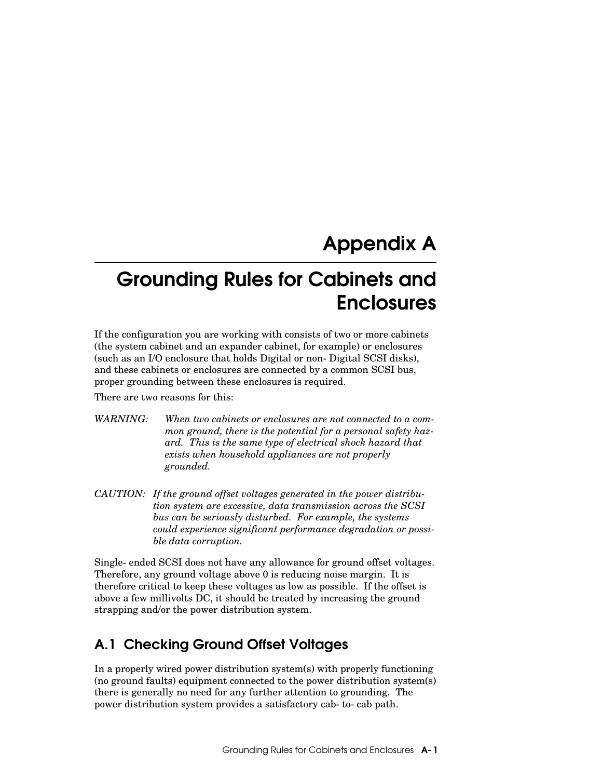# Appendix A

# Grounding Rules for Cabinets and Enclosures

If the configuration you are working with consists of two or more cabinets (the system cabinet and an expander cabinet, for example) or enclosures (such as an I/O enclosure that holds Digital or non-Digital SCSI disks), and these cabinets or enclosures are connected by a common SCSI bus, proper grounding between these enclosures is required.

There are two reasons for this:

- *WARNING: When two cabinets or enclosures are not connected to a common ground, there is the potential for a personal safety hazard. This is the same type of electrical shock hazard that exists when household appliances are not properly grounded.*
- *CAUTION: If the ground offset voltages generated in the power distribution system are excessive, data transmission across the SCSI bus can be seriously disturbed. For example, the systems could experience significant performance degradation or possible data corruption.*

Single-ended SCSI does not have any allowance for ground offset voltages. Therefore, any ground voltage above 0 is reducing noise margin. It is therefore critical to keep these voltages as low as possible. If the offset is above a few millivolts DC, it should be treated by increasing the ground strapping and/or the power distribution system.

# A.1 Checking Ground Offset Voltages

In a properly wired power distribution system(s) with properly functioning (no ground faults) equipment connected to the power distribution system(s) there is generally no need for any further attention to grounding. The power distribution system provides a satisfactory cab-to-cab path.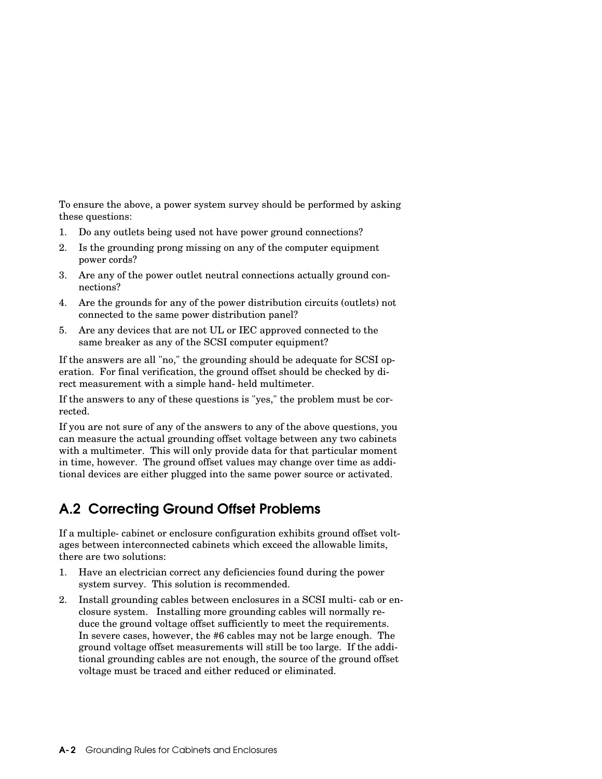To ensure the above, a power system survey should be performed by asking these questions:

- 1. Do any outlets being used not have power ground connections?
- 2. Is the grounding prong missing on any of the computer equipment power cords?
- 3. Are any of the power outlet neutral connections actually ground connections?
- 4. Are the grounds for any of the power distribution circuits (outlets) not connected to the same power distribution panel?
- 5. Are any devices that are not UL or IEC approved connected to the same breaker as any of the SCSI computer equipment?

If the answers are all "no," the grounding should be adequate for SCSI operation. For final verification, the ground offset should be checked by direct measurement with a simple hand-held multimeter.

If the answers to any of these questions is "yes," the problem must be corrected.

If you are not sure of any of the answers to any of the above questions, you can measure the actual grounding offset voltage between any two cabinets with a multimeter. This will only provide data for that particular moment in time, however. The ground offset values may change over time as additional devices are either plugged into the same power source or activated.

# A.2 Correcting Ground Offset Problems

If a multiple-cabinet or enclosure configuration exhibits ground offset voltages between interconnected cabinets which exceed the allowable limits, there are two solutions:

- 1. Have an electrician correct any deficiencies found during the power system survey. This solution is recommended.
- 2. Install grounding cables between enclosures in a SCSI multi-cab or enclosure system. Installing more grounding cables will normally reduce the ground voltage offset sufficiently to meet the requirements. In severe cases, however, the #6 cables may not be large enough. The ground voltage offset measurements will still be too large. If the additional grounding cables are not enough, the source of the ground offset voltage must be traced and either reduced or eliminated.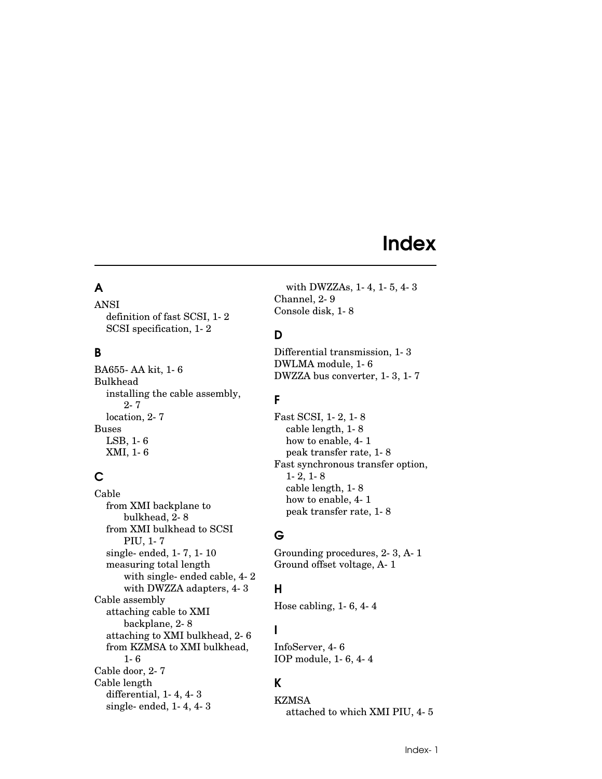# Index

## A

ANSI definition of fast SCSI, 1-2 SCSI specification, 1-2

### B

BA655-AA kit, 1-6 Bulkhead installing the cable assembly, 2-7 location, 2-7 Buses LSB, 1-6 XMI, 1-6

## C

Cable from XMI backplane to bulkhead, 2-8 from XMI bulkhead to SCSI PIU, 1-7 single-ended, 1-7, 1-10 measuring total length with single-ended cable, 4-2 with DWZZA adapters, 4-3 Cable assembly attaching cable to XMI backplane, 2-8 attaching to XMI bulkhead, 2-6 from KZMSA to XMI bulkhead, 1-6 Cable door, 2-7 Cable length differential, 1-4, 4-3 single-ended, 1-4, 4-3

with DWZZAs, 1-4, 1-5, 4-3 Channel, 2-9 Console disk, 1-8

# D

Differential transmission, 1-3 DWLMA module, 1-6 DWZZA bus converter, 1-3, 1-7

## F

Fast SCSI, 1-2, 1-8 cable length, 1-8 how to enable, 4-1 peak transfer rate, 1-8 Fast synchronous transfer option, 1-2, 1-8 cable length, 1-8 how to enable, 4-1 peak transfer rate, 1-8

# G

Grounding procedures, 2-3, A-1 Ground offset voltage, A-1

## H

Hose cabling, 1-6, 4-4

# I

InfoServer, 4-6 IOP module, 1-6, 4-4

## K

KZMSA

attached to which XMI PIU, 4-5